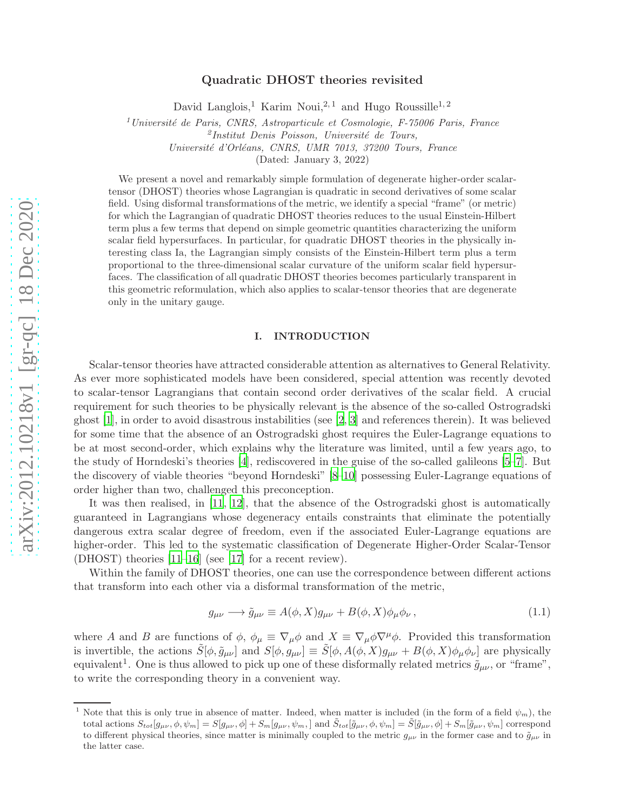# arXiv:2012.10218v1 [gr-qc] 18 Dec 2020 [arXiv:2012.10218v1 \[gr-qc\] 18 Dec 2020](http://arxiv.org/abs/2012.10218v1)

# Quadratic DHOST theories revisited

David Langlois,<sup>1</sup> Karim Noui,<sup>2,1</sup> and Hugo Roussille<sup>1,2</sup>

 $1$ Université de Paris, CNRS, Astroparticule et Cosmologie, F-75006 Paris, France

Université d'Orléans, CNRS, UMR 7013, 37200 Tours, France

(Dated: January 3, 2022)

We present a novel and remarkably simple formulation of degenerate higher-order scalartensor (DHOST) theories whose Lagrangian is quadratic in second derivatives of some scalar field. Using disformal transformations of the metric, we identify a special "frame" (or metric) for which the Lagrangian of quadratic DHOST theories reduces to the usual Einstein-Hilbert term plus a few terms that depend on simple geometric quantities characterizing the uniform scalar field hypersurfaces. In particular, for quadratic DHOST theories in the physically interesting class Ia, the Lagrangian simply consists of the Einstein-Hilbert term plus a term proportional to the three-dimensional scalar curvature of the uniform scalar field hypersurfaces. The classification of all quadratic DHOST theories becomes particularly transparent in this geometric reformulation, which also applies to scalar-tensor theories that are degenerate only in the unitary gauge.

# I. INTRODUCTION

Scalar-tensor theories have attracted considerable attention as alternatives to General Relativity. As ever more sophisticated models have been considered, special attention was recently devoted to scalar-tensor Lagrangians that contain second order derivatives of the scalar field. A crucial requirement for such theories to be physically relevant is the absence of the so-called Ostrogradski ghost  $[1]$ , in order to avoid disastrous instabilities (see  $[2, 3]$  $[2, 3]$  $[2, 3]$  and references therein). It was believed for some time that the absence of an Ostrogradski ghost requires the Euler-Lagrange equations to be at most second-order, which explains why the literature was limited, until a few years ago, to the study of Horndeski's theories [\[4\]](#page-14-3), rediscovered in the guise of the so-called galileons [\[5](#page-14-4)[–7](#page-14-5)]. But the discovery of viable theories "beyond Horndeski" [\[8](#page-15-0)[–10](#page-15-1)] possessing Euler-Lagrange equations of order higher than two, challenged this preconception.

It was then realised, in [\[11](#page-15-2), [12\]](#page-15-3), that the absence of the Ostrogradski ghost is automatically guaranteed in Lagrangians whose degeneracy entails constraints that eliminate the potentially dangerous extra scalar degree of freedom, even if the associated Euler-Lagrange equations are higher-order. This led to the systematic classification of Degenerate Higher-Order Scalar-Tensor (DHOST) theories [\[11](#page-15-2)[–16](#page-15-4)] (see [\[17](#page-15-5)] for a recent review).

Within the family of DHOST theories, one can use the correspondence between different actions that transform into each other via a disformal transformation of the metric,

<span id="page-0-0"></span>
$$
g_{\mu\nu} \longrightarrow \tilde{g}_{\mu\nu} \equiv A(\phi, X)g_{\mu\nu} + B(\phi, X)\phi_{\mu}\phi_{\nu}, \qquad (1.1)
$$

where A and B are functions of  $\phi$ ,  $\phi_{\mu} \equiv \nabla_{\mu} \phi$  and  $X \equiv \nabla_{\mu} \phi \nabla^{\mu} \phi$ . Provided this transformation is invertible, the actions  $S[\phi, \tilde{g}_{\mu\nu}]$  and  $S[\phi, g_{\mu\nu}] \equiv S[\phi, A(\phi, X)g_{\mu\nu} + B(\phi, X)\phi_{\mu}\phi_{\nu}]$  are physically equivalent<sup>1</sup>. One is thus allowed to pick up one of these disformally related metrics  $\tilde{g}_{\mu\nu}$ , or "frame", to write the corresponding theory in a convenient way.

<sup>&</sup>lt;sup>2</sup>Institut Denis Poisson, Université de Tours,

<sup>&</sup>lt;sup>1</sup> Note that this is only true in absence of matter. Indeed, when matter is included (in the form of a field  $\psi_m$ ), the total actions  $S_{tot}[g_{\mu\nu}, \phi, \psi_m] = S[g_{\mu\nu}, \phi] + S_m[g_{\mu\nu}, \psi_m]$  and  $\tilde{S}_{tot}[\tilde{g}_{\mu\nu}, \phi, \psi_m] = \tilde{S}[\tilde{g}_{\mu\nu}, \phi] + S_m[\tilde{g}_{\mu\nu}, \psi_m]$  correspond to different physical theories, since matter is minimally coupled to the metric  $g_{\mu\nu}$  in the former case and to  $\tilde{g}_{\mu\nu}$  in the latter case.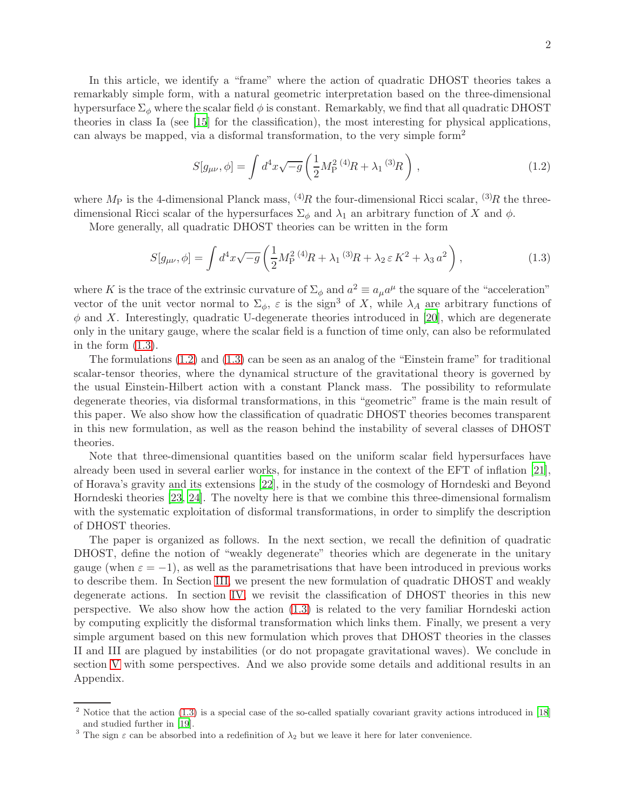In this article, we identify a "frame" where the action of quadratic DHOST theories takes a remarkably simple form, with a natural geometric interpretation based on the three-dimensional hypersurface  $\Sigma_{\phi}$  where the scalar field  $\phi$  is constant. Remarkably, we find that all quadratic DHOST theories in class Ia (see [\[15](#page-15-6)] for the classification), the most interesting for physical applications, can always be mapped, via a disformal transformation, to the very simple form<sup>2</sup>

<span id="page-1-1"></span>
$$
S[g_{\mu\nu}, \phi] = \int d^4x \sqrt{-g} \left(\frac{1}{2} M_{\rm P}^2 \, ^{(4)}R + \lambda_1 \, ^{(3)}R\right) \,, \tag{1.2}
$$

where  $M_P$  is the 4-dimensional Planck mass, <sup>(4)</sup>R the four-dimensional Ricci scalar, <sup>(3)</sup>R the threedimensional Ricci scalar of the hypersurfaces  $\Sigma_{\phi}$  and  $\lambda_1$  an arbitrary function of X and  $\phi$ .

More generally, all quadratic DHOST theories can be written in the form

<span id="page-1-0"></span>
$$
S[g_{\mu\nu}, \phi] = \int d^4x \sqrt{-g} \left( \frac{1}{2} M_P^{2\ (4)} R + \lambda_1^{(3)} R + \lambda_2 \,\varepsilon \, K^2 + \lambda_3 \, a^2 \right),\tag{1.3}
$$

where K is the trace of the extrinsic curvature of  $\Sigma_{\phi}$  and  $a^2 \equiv a_{\mu}a^{\mu}$  the square of the "acceleration" vector of the unit vector normal to  $\Sigma_{\phi}$ ,  $\varepsilon$  is the sign<sup>3</sup> of X, while  $\lambda_A$  are arbitrary functions of  $\phi$  and X. Interestingly, quadratic U-degenerate theories introduced in [\[20](#page-15-7)], which are degenerate only in the unitary gauge, where the scalar field is a function of time only, can also be reformulated in the form [\(1.3\)](#page-1-0).

The formulations [\(1.2\)](#page-1-1) and [\(1.3\)](#page-1-0) can be seen as an analog of the "Einstein frame" for traditional scalar-tensor theories, where the dynamical structure of the gravitational theory is governed by the usual Einstein-Hilbert action with a constant Planck mass. The possibility to reformulate degenerate theories, via disformal transformations, in this "geometric" frame is the main result of this paper. We also show how the classification of quadratic DHOST theories becomes transparent in this new formulation, as well as the reason behind the instability of several classes of DHOST theories.

Note that three-dimensional quantities based on the uniform scalar field hypersurfaces have already been used in several earlier works, for instance in the context of the EFT of inflation [\[21](#page-15-8)], of Horava's gravity and its extensions [\[22](#page-15-9)], in the study of the cosmology of Horndeski and Beyond Horndeski theories [\[23,](#page-15-10) [24](#page-15-11)]. The novelty here is that we combine this three-dimensional formalism with the systematic exploitation of disformal transformations, in order to simplify the description of DHOST theories.

The paper is organized as follows. In the next section, we recall the definition of quadratic DHOST, define the notion of "weakly degenerate" theories which are degenerate in the unitary gauge (when  $\varepsilon = -1$ ), as well as the parametrisations that have been introduced in previous works to describe them. In Section [III,](#page-3-0) we present the new formulation of quadratic DHOST and weakly degenerate actions. In section [IV,](#page-4-0) we revisit the classification of DHOST theories in this new perspective. We also show how the action [\(1.3\)](#page-1-0) is related to the very familiar Horndeski action by computing explicitly the disformal transformation which links them. Finally, we present a very simple argument based on this new formulation which proves that DHOST theories in the classes II and III are plagued by instabilities (or do not propagate gravitational waves). We conclude in section [V](#page-7-0) with some perspectives. And we also provide some details and additional results in an Appendix.

 $2$  Notice that the action [\(1.3\)](#page-1-0) is a special case of the so-called spatially covariant gravity actions introduced in [\[18\]](#page-15-12) and studied further in [\[19](#page-15-13)].

<sup>&</sup>lt;sup>3</sup> The sign  $\varepsilon$  can be absorbed into a redefinition of  $\lambda_2$  but we leave it here for later convenience.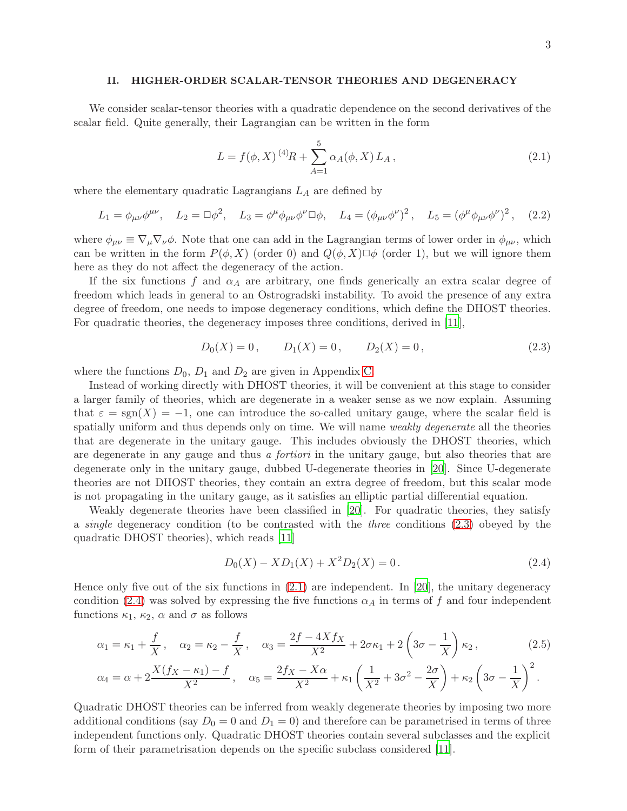# II. HIGHER-ORDER SCALAR-TENSOR THEORIES AND DEGENERACY

We consider scalar-tensor theories with a quadratic dependence on the second derivatives of the scalar field. Quite generally, their Lagrangian can be written in the form

<span id="page-2-1"></span>
$$
L = f(\phi, X)^{(4)}R + \sum_{A=1}^{5} \alpha_A(\phi, X) L_A , \qquad (2.1)
$$

where the elementary quadratic Lagrangians  $L_A$  are defined by

<span id="page-2-4"></span>
$$
L_1 = \phi_{\mu\nu}\phi^{\mu\nu}, \quad L_2 = \Box \phi^2, \quad L_3 = \phi^{\mu}\phi_{\mu\nu}\phi^{\nu}\Box \phi, \quad L_4 = (\phi_{\mu\nu}\phi^{\nu})^2, \quad L_5 = (\phi^{\mu}\phi_{\mu\nu}\phi^{\nu})^2, \quad (2.2)
$$

where  $\phi_{\mu\nu} \equiv \nabla_{\mu} \nabla_{\nu} \phi$ . Note that one can add in the Lagrangian terms of lower order in  $\phi_{\mu\nu}$ , which can be written in the form  $P(\phi, X)$  (order 0) and  $Q(\phi, X) \Box \phi$  (order 1), but we will ignore them here as they do not affect the degeneracy of the action.

If the six functions f and  $\alpha_A$  are arbitrary, one finds generically an extra scalar degree of freedom which leads in general to an Ostrogradski instability. To avoid the presence of any extra degree of freedom, one needs to impose degeneracy conditions, which define the DHOST theories. For quadratic theories, the degeneracy imposes three conditions, derived in [\[11](#page-15-2)],

<span id="page-2-0"></span>
$$
D_0(X) = 0, \qquad D_1(X) = 0, \qquad D_2(X) = 0,
$$
\n<sup>(2.3)</sup>

where the functions  $D_0$ ,  $D_1$  and  $D_2$  are given in Appendix [C.](#page-12-0)

Instead of working directly with DHOST theories, it will be convenient at this stage to consider a larger family of theories, which are degenerate in a weaker sense as we now explain. Assuming that  $\varepsilon = \text{sgn}(X) = -1$ , one can introduce the so-called unitary gauge, where the scalar field is spatially uniform and thus depends only on time. We will name weakly degenerate all the theories that are degenerate in the unitary gauge. This includes obviously the DHOST theories, which are degenerate in any gauge and thus a fortiori in the unitary gauge, but also theories that are degenerate only in the unitary gauge, dubbed U-degenerate theories in [\[20](#page-15-7)]. Since U-degenerate theories are not DHOST theories, they contain an extra degree of freedom, but this scalar mode is not propagating in the unitary gauge, as it satisfies an elliptic partial differential equation.

Weakly degenerate theories have been classified in [\[20](#page-15-7)]. For quadratic theories, they satisfy a single degeneracy condition (to be contrasted with the three conditions [\(2.3\)](#page-2-0) obeyed by the quadratic DHOST theories), which reads [\[11](#page-15-2)]

<span id="page-2-2"></span>
$$
D_0(X) - X D_1(X) + X^2 D_2(X) = 0.
$$
\n(2.4)

Hence only five out of the six functions in [\(2.1\)](#page-2-1) are independent. In [\[20\]](#page-15-7), the unitary degeneracy condition [\(2.4\)](#page-2-2) was solved by expressing the five functions  $\alpha_A$  in terms of f and four independent functions  $\kappa_1$ ,  $\kappa_2$ ,  $\alpha$  and  $\sigma$  as follows

<span id="page-2-3"></span>
$$
\alpha_1 = \kappa_1 + \frac{f}{X}, \quad \alpha_2 = \kappa_2 - \frac{f}{X}, \quad \alpha_3 = \frac{2f - 4Xf_X}{X^2} + 2\sigma\kappa_1 + 2\left(3\sigma - \frac{1}{X}\right)\kappa_2, \tag{2.5}
$$

$$
\alpha_4 = \alpha + 2\frac{X(f_X - \kappa_1) - f}{X^2}, \quad \alpha_5 = \frac{2f_X - X\alpha}{X^2} + \kappa_1 \left(\frac{1}{X^2} + 3\sigma^2 - \frac{2\sigma}{X}\right) + \kappa_2 \left(3\sigma - \frac{1}{X}\right)^2.
$$

Quadratic DHOST theories can be inferred from weakly degenerate theories by imposing two more additional conditions (say  $D_0 = 0$  and  $D_1 = 0$ ) and therefore can be parametrised in terms of three independent functions only. Quadratic DHOST theories contain several subclasses and the explicit form of their parametrisation depends on the specific subclass considered [\[11\]](#page-15-2).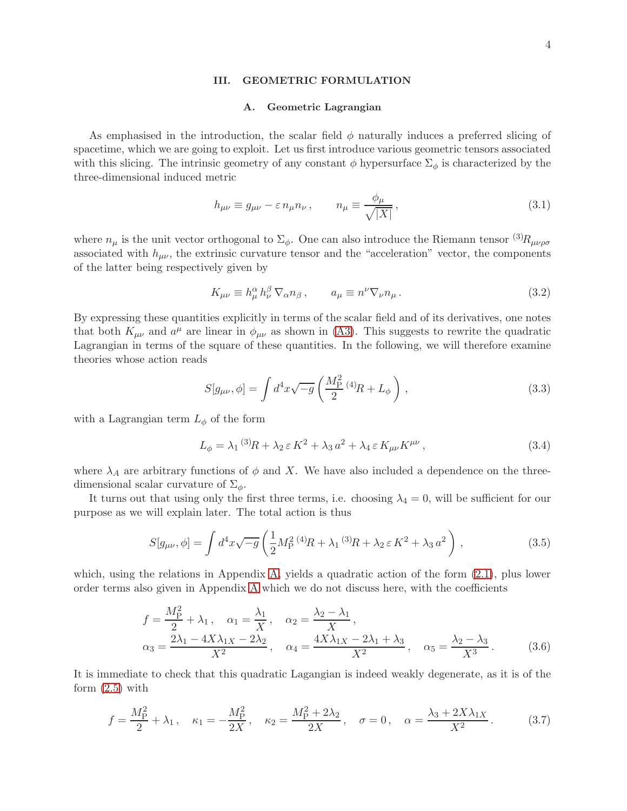## <span id="page-3-0"></span>III. GEOMETRIC FORMULATION

## A. Geometric Lagrangian

As emphasised in the introduction, the scalar field  $\phi$  naturally induces a preferred slicing of spacetime, which we are going to exploit. Let us first introduce various geometric tensors associated with this slicing. The intrinsic geometry of any constant  $\phi$  hypersurface  $\Sigma_{\phi}$  is characterized by the three-dimensional induced metric

<span id="page-3-4"></span>
$$
h_{\mu\nu} \equiv g_{\mu\nu} - \varepsilon n_{\mu} n_{\nu} , \qquad n_{\mu} \equiv \frac{\phi_{\mu}}{\sqrt{|X|}} , \qquad (3.1)
$$

where  $n_{\mu}$  is the unit vector orthogonal to  $\Sigma_{\phi}$ . One can also introduce the Riemann tensor  ${}^{(3)}R_{\mu\nu\rho\sigma}$ associated with  $h_{\mu\nu}$ , the extrinsic curvature tensor and the "acceleration" vector, the components of the latter being respectively given by

$$
K_{\mu\nu} \equiv h^{\alpha}_{\mu} h^{\beta}_{\nu} \nabla_{\alpha} n_{\beta} , \qquad a_{\mu} \equiv n^{\nu} \nabla_{\nu} n_{\mu} . \tag{3.2}
$$

By expressing these quantities explicitly in terms of the scalar field and of its derivatives, one notes that both  $K_{\mu\nu}$  and  $a^{\mu}$  are linear in  $\phi_{\mu\nu}$  as shown in [\(A3\)](#page-8-0). This suggests to rewrite the quadratic Lagrangian in terms of the square of these quantities. In the following, we will therefore examine theories whose action reads

<span id="page-3-2"></span>
$$
S[g_{\mu\nu}, \phi] = \int d^4x \sqrt{-g} \left( \frac{M_{\rm P}^2}{2} {}^{(4)}R + L_{\phi} \right) , \qquad (3.3)
$$

with a Lagrangian term  $L_{\phi}$  of the form

$$
L_{\phi} = \lambda_1^{(3)}R + \lambda_2 \,\varepsilon \, K^2 + \lambda_3 \, a^2 + \lambda_4 \,\varepsilon \, K_{\mu\nu} K^{\mu\nu} \,, \tag{3.4}
$$

where  $\lambda_A$  are arbitrary functions of  $\phi$  and X. We have also included a dependence on the threedimensional scalar curvature of  $\Sigma_{\phi}$ .

It turns out that using only the first three terms, i.e. choosing  $\lambda_4 = 0$ , will be sufficient for our purpose as we will explain later. The total action is thus

<span id="page-3-1"></span>
$$
S[g_{\mu\nu}, \phi] = \int d^4x \sqrt{-g} \left( \frac{1}{2} M_P^{2\ (4)} R + \lambda_1^{(3)} R + \lambda_2 \,\varepsilon \, K^2 + \lambda_3 \, a^2 \right) \,, \tag{3.5}
$$

which, using the relations in Appendix [A,](#page-8-1) yields a quadratic action of the form  $(2.1)$ , plus lower order terms also given in Appendix [A](#page-8-1) which we do not discuss here, with the coefficients

<span id="page-3-3"></span>
$$
f = \frac{M_{\rm P}^2}{2} + \lambda_1, \quad \alpha_1 = \frac{\lambda_1}{X}, \quad \alpha_2 = \frac{\lambda_2 - \lambda_1}{X},
$$
  

$$
\alpha_3 = \frac{2\lambda_1 - 4X\lambda_1X - 2\lambda_2}{X^2}, \quad \alpha_4 = \frac{4X\lambda_1X - 2\lambda_1 + \lambda_3}{X^2}, \quad \alpha_5 = \frac{\lambda_2 - \lambda_3}{X^3}.
$$
 (3.6)

It is immediate to check that this quadratic Lagangian is indeed weakly degenerate, as it is of the form  $(2.5)$  with

$$
f = \frac{M_{\rm P}^2}{2} + \lambda_1 \,, \quad \kappa_1 = -\frac{M_{\rm P}^2}{2X} \,, \quad \kappa_2 = \frac{M_{\rm P}^2 + 2\lambda_2}{2X} \,, \quad \sigma = 0 \,, \quad \alpha = \frac{\lambda_3 + 2X\lambda_{1X}}{X^2} \,. \tag{3.7}
$$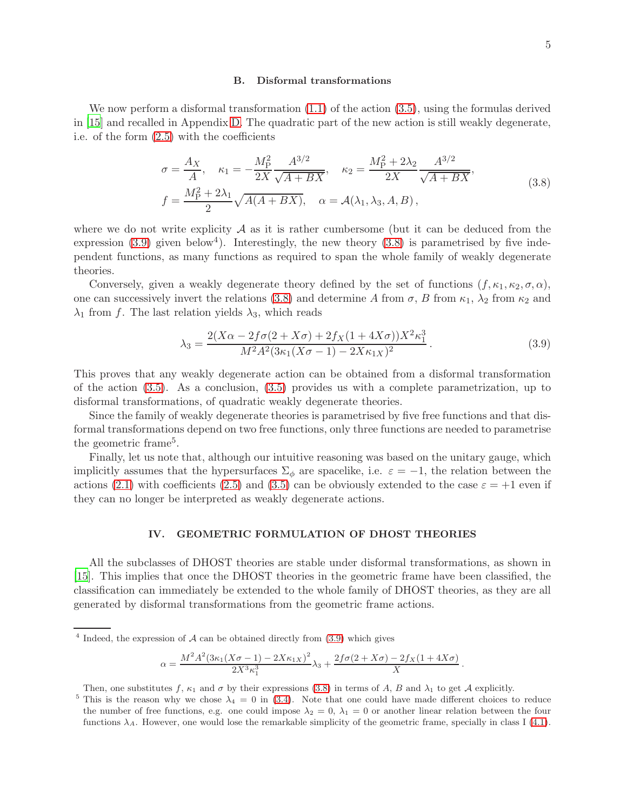#### <span id="page-4-2"></span>B. Disformal transformations

We now perform a disformal transformation  $(1.1)$  of the action  $(3.5)$ , using the formulas derived in [\[15](#page-15-6)] and recalled in Appendix [D.](#page-13-0) The quadratic part of the new action is still weakly degenerate, i.e. of the form [\(2.5\)](#page-2-3) with the coefficients

$$
\sigma = \frac{A_X}{A}, \quad \kappa_1 = -\frac{M_P^2}{2X} \frac{A^{3/2}}{\sqrt{A+BX}}, \quad \kappa_2 = \frac{M_P^2 + 2\lambda_2}{2X} \frac{A^{3/2}}{\sqrt{A+BX}},
$$
  

$$
f = \frac{M_P^2 + 2\lambda_1}{2} \sqrt{A(A+BX)}, \quad \alpha = A(\lambda_1, \lambda_3, A, B),
$$
 (3.8)

where we do not write explicity  $\mathcal A$  as it is rather cumbersome (but it can be deduced from the expression  $(3.9)$  given below<sup>4</sup>). Interestingly, the new theory  $(3.8)$  is parametrised by five independent functions, as many functions as required to span the whole family of weakly degenerate theories.

Conversely, given a weakly degenerate theory defined by the set of functions  $(f, \kappa_1, \kappa_2, \sigma, \alpha)$ , one can successively invert the relations [\(3.8\)](#page-4-2) and determine A from  $\sigma$ , B from  $\kappa_1$ ,  $\lambda_2$  from  $\kappa_2$  and  $\lambda_1$  from f. The last relation yields  $\lambda_3$ , which reads

<span id="page-4-1"></span>
$$
\lambda_3 = \frac{2(X\alpha - 2f\sigma(2 + X\sigma) + 2f_X(1 + 4X\sigma))X^2\kappa_1^3}{M^2A^2(3\kappa_1(X\sigma - 1) - 2X\kappa_1X)^2}.
$$
\n(3.9)

This proves that any weakly degenerate action can be obtained from a disformal transformation of the action [\(3.5\)](#page-3-1). As a conclusion, [\(3.5\)](#page-3-1) provides us with a complete parametrization, up to disformal transformations, of quadratic weakly degenerate theories.

Since the family of weakly degenerate theories is parametrised by five free functions and that disformal transformations depend on two free functions, only three functions are needed to parametrise the geometric frame<sup>5</sup>.

Finally, let us note that, although our intuitive reasoning was based on the unitary gauge, which implicitly assumes that the hypersurfaces  $\Sigma_{\phi}$  are spacelike, i.e.  $\varepsilon = -1$ , the relation between the actions [\(2.1\)](#page-2-1) with coefficients [\(2.5\)](#page-2-3) and [\(3.5\)](#page-3-1) can be obviously extended to the case  $\varepsilon = +1$  even if they can no longer be interpreted as weakly degenerate actions.

## <span id="page-4-0"></span>IV. GEOMETRIC FORMULATION OF DHOST THEORIES

All the subclasses of DHOST theories are stable under disformal transformations, as shown in [\[15\]](#page-15-6). This implies that once the DHOST theories in the geometric frame have been classified, the classification can immediately be extended to the whole family of DHOST theories, as they are all generated by disformal transformations from the geometric frame actions.

$$
\alpha = \frac{M^2 A^2 (3\kappa_1 (X\sigma - 1) - 2X\kappa_{1X})^2}{2X^3 \kappa_1^3} \lambda_3 + \frac{2f\sigma (2 + X\sigma) - 2f_X (1 + 4X\sigma)}{X}.
$$

Then, one substitutes f,  $\kappa_1$  and  $\sigma$  by their expressions [\(3.8\)](#page-4-2) in terms of A, B and  $\lambda_1$  to get A explicitly.

<sup>&</sup>lt;sup>4</sup> Indeed, the expression of  $\mathcal A$  can be obtained directly from [\(3.9\)](#page-4-1) which gives

<sup>&</sup>lt;sup>5</sup> This is the reason why we chose  $\lambda_4 = 0$  in [\(3.4\)](#page-3-2). Note that one could have made different choices to reduce the number of free functions, e.g. one could impose  $\lambda_2 = 0$ ,  $\lambda_1 = 0$  or another linear relation between the four functions  $\lambda_A$ . However, one would lose the remarkable simplicity of the geometric frame, specially in class I [\(4.1\)](#page-5-0).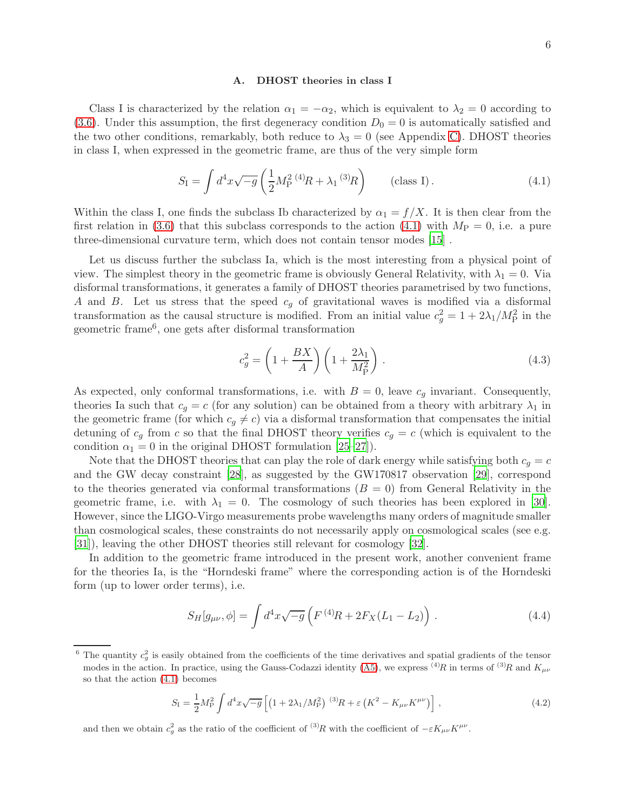#### A. DHOST theories in class I

Class I is characterized by the relation  $\alpha_1 = -\alpha_2$ , which is equivalent to  $\lambda_2 = 0$  according to [\(3.6\)](#page-3-3). Under this assumption, the first degeneracy condition  $D_0 = 0$  is automatically satisfied and the two other conditions, remarkably, both reduce to  $\lambda_3 = 0$  (see Appendix [C\)](#page-12-0). DHOST theories in class I, when expressed in the geometric frame, are thus of the very simple form

<span id="page-5-0"></span>
$$
S_{\rm I} = \int d^4x \sqrt{-g} \left( \frac{1}{2} M_{\rm P}^2 \, {}^{(4)}\!R + \lambda_1 \, {}^{(3)}\!R \right) \qquad \text{(class I)} \,. \tag{4.1}
$$

Within the class I, one finds the subclass Ib characterized by  $\alpha_1 = f/X$ . It is then clear from the first relation in [\(3.6\)](#page-3-3) that this subclass corresponds to the action [\(4.1\)](#page-5-0) with  $M_{\rm P} = 0$ , i.e. a pure three-dimensional curvature term, which does not contain tensor modes [\[15](#page-15-6)] .

Let us discuss further the subclass Ia, which is the most interesting from a physical point of view. The simplest theory in the geometric frame is obviously General Relativity, with  $\lambda_1 = 0$ . Via disformal transformations, it generates a family of DHOST theories parametrised by two functions, A and B. Let us stress that the speed  $c<sub>g</sub>$  of gravitational waves is modified via a disformal transformation as the causal structure is modified. From an initial value  $c_g^2 = 1 + 2\lambda_1/M_P^2$  in the geometric frame<sup>6</sup> , one gets after disformal transformation

$$
c_g^2 = \left(1 + \frac{BX}{A}\right)\left(1 + \frac{2\lambda_1}{M_P^2}\right). \tag{4.3}
$$

As expected, only conformal transformations, i.e. with  $B = 0$ , leave  $c_q$  invariant. Consequently, theories Ia such that  $c_q = c$  (for any solution) can be obtained from a theory with arbitrary  $\lambda_1$  in the geometric frame (for which  $c_g \neq c$ ) via a disformal transformation that compensates the initial detuning of  $c_q$  from c so that the final DHOST theory verifies  $c_q = c$  (which is equivalent to the condition  $\alpha_1 = 0$  in the original DHOST formulation [\[25](#page-15-14)[–27\]](#page-15-15)).

Note that the DHOST theories that can play the role of dark energy while satisfying both  $c_q = c$ and the GW decay constraint [\[28](#page-15-16)], as suggested by the GW170817 observation [\[29](#page-15-17)], correspond to the theories generated via conformal transformations  $(B = 0)$  from General Relativity in the geometric frame, i.e. with  $\lambda_1 = 0$ . The cosmology of such theories has been explored in [\[30](#page-15-18)]. However, since the LIGO-Virgo measurements probe wavelengths many orders of magnitude smaller than cosmological scales, these constraints do not necessarily apply on cosmological scales (see e.g. [\[31\]](#page-15-19)), leaving the other DHOST theories still relevant for cosmology [\[32](#page-15-20)].

In addition to the geometric frame introduced in the present work, another convenient frame for the theories Ia, is the "Horndeski frame" where the corresponding action is of the Horndeski form (up to lower order terms), i.e.

<span id="page-5-1"></span>
$$
S_H[g_{\mu\nu}, \phi] = \int d^4x \sqrt{-g} \left( F^{(4)}R + 2F_X(L_1 - L_2) \right) \,. \tag{4.4}
$$

$$
S_{\rm I} = \frac{1}{2} M_{\rm P}^2 \int d^4 x \sqrt{-g} \left[ \left( 1 + 2\lambda_1 / M_{\rm P}^2 \right)^{(3)} R + \varepsilon \left( K^2 - K_{\mu\nu} K^{\mu\nu} \right) \right], \tag{4.2}
$$

and then we obtain  $c_g^2$  as the ratio of the coefficient of  $^{(3)}R$  with the coefficient of  $-\varepsilon K_{\mu\nu}K^{\mu\nu}$ .

<sup>&</sup>lt;sup>6</sup> The quantity  $c_g^2$  is easily obtained from the coefficients of the time derivatives and spatial gradients of the tensor modes in the action. In practice, using the Gauss-Codazzi identity [\(A5\)](#page-9-0), we express  $^{(4)}R$  in terms of  $^{(3)}R$  and  $K_{\mu\nu}$ so that the action [\(4.1\)](#page-5-0) becomes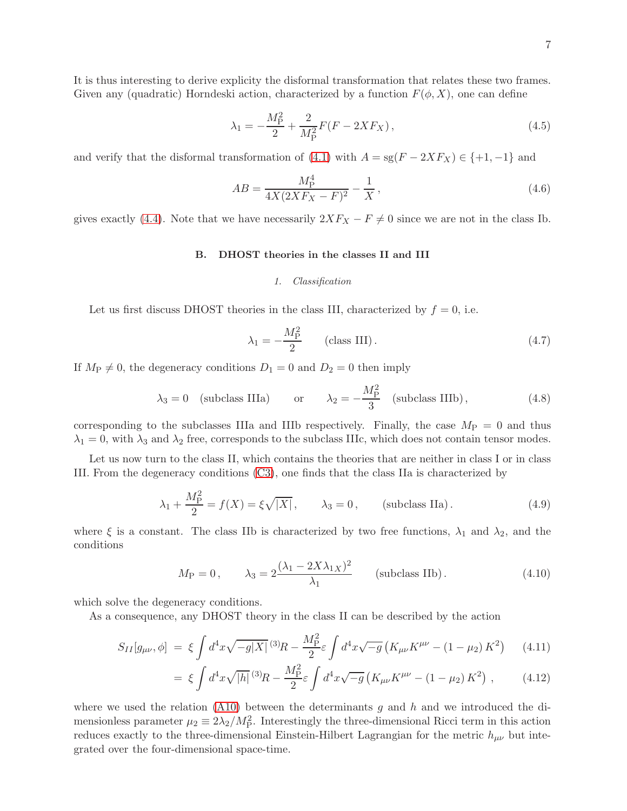It is thus interesting to derive explicity the disformal transformation that relates these two frames. Given any (quadratic) Horndeski action, characterized by a function  $F(\phi, X)$ , one can define

$$
\lambda_1 = -\frac{M_P^2}{2} + \frac{2}{M_P^2} F(F - 2XF_X),\tag{4.5}
$$

and verify that the disformal transformation of  $(4.1)$  with  $A = sg(F - 2XF_X) \in \{+1, -1\}$  and

$$
AB = \frac{M_{\rm P}^4}{4X(2XF_X - F)^2} - \frac{1}{X},\tag{4.6}
$$

gives exactly [\(4.4\)](#page-5-1). Note that we have necessarily  $2XF_X - F \neq 0$  since we are not in the class Ib.

## B. DHOST theories in the classes II and III

# 1. Classification

Let us first discuss DHOST theories in the class III, characterized by  $f = 0$ , i.e.

$$
\lambda_1 = -\frac{M_P^2}{2} \qquad \text{(class III)}.
$$
\n
$$
\tag{4.7}
$$

If  $M_P \neq 0$ , the degeneracy conditions  $D_1 = 0$  and  $D_2 = 0$  then imply

$$
\lambda_3 = 0
$$
 (subclass IIIa) or  $\lambda_2 = -\frac{M_P^2}{3}$  (subclass IIIb), (4.8)

corresponding to the subclasses IIIa and IIIb respectively. Finally, the case  $M_{\rm P} = 0$  and thus  $\lambda_1 = 0$ , with  $\lambda_3$  and  $\lambda_2$  free, corresponds to the subclass IIIc, which does not contain tensor modes.

Let us now turn to the class II, which contains the theories that are neither in class I or in class III. From the degeneracy conditions [\(C3\)](#page-12-1), one finds that the class IIa is characterized by

<span id="page-6-1"></span>
$$
\lambda_1 + \frac{M_{\rm P}^2}{2} = f(X) = \xi \sqrt{|X|}, \qquad \lambda_3 = 0, \qquad \text{(subclass IIa)}.
$$
 (4.9)

where  $\xi$  is a constant. The class IIb is characterized by two free functions,  $\lambda_1$  and  $\lambda_2$ , and the conditions

$$
M_{\rm P} = 0, \qquad \lambda_3 = 2 \frac{(\lambda_1 - 2X\lambda_{1X})^2}{\lambda_1} \qquad \text{(subclass IIb)}.
$$
 (4.10)

which solve the degeneracy conditions.

As a consequence, any DHOST theory in the class II can be described by the action

<span id="page-6-0"></span>
$$
S_{II}[g_{\mu\nu}, \phi] = \xi \int d^4x \sqrt{-g|X|} \,^{(3)}R - \frac{M_P^2}{2} \varepsilon \int d^4x \sqrt{-g} \left( K_{\mu\nu} K^{\mu\nu} - (1 - \mu_2) \, K^2 \right) \tag{4.11}
$$

$$
= \xi \int d^4x \sqrt{|h|} \,^{(3)}\!R - \frac{M_P^2}{2} \varepsilon \int d^4x \sqrt{-g} \left( K_{\mu\nu} K^{\mu\nu} - (1 - \mu_2) \, K^2 \right) \,, \tag{4.12}
$$

where we used the relation [\(A10\)](#page-9-1) between the determinants  $g$  and  $h$  and we introduced the dimensionless parameter  $\mu_2 \equiv 2\lambda_2/M_P^2$ . Interestingly the three-dimensional Ricci term in this action reduces exactly to the three-dimensional Einstein-Hilbert Lagrangian for the metric  $h_{\mu\nu}$  but integrated over the four-dimensional space-time.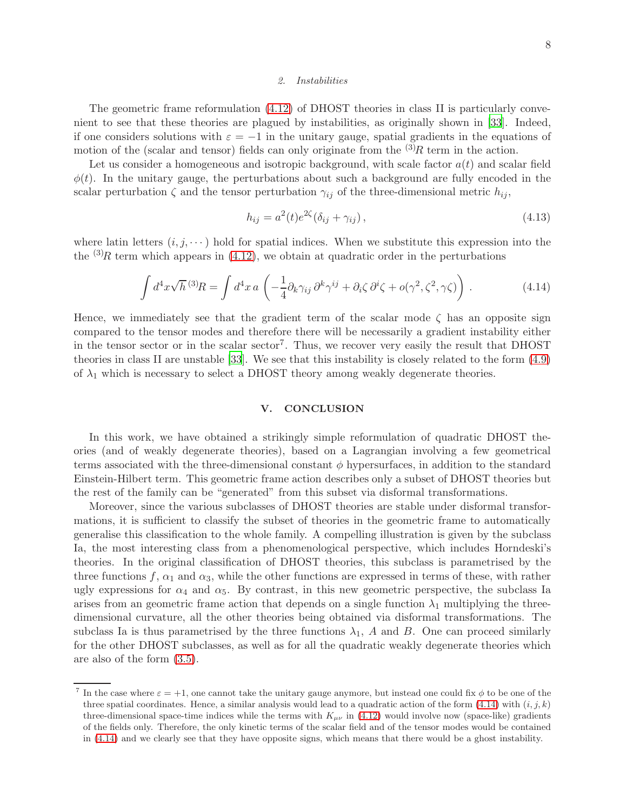#### 2. Instabilities

The geometric frame reformulation [\(4.12\)](#page-6-0) of DHOST theories in class II is particularly convenient to see that these theories are plagued by instabilities, as originally shown in [\[33](#page-15-21)]. Indeed, if one considers solutions with  $\varepsilon = -1$  in the unitary gauge, spatial gradients in the equations of motion of the (scalar and tensor) fields can only originate from the  ${}^{(3)}R$  term in the action.

Let us consider a homogeneous and isotropic background, with scale factor  $a(t)$  and scalar field  $\phi(t)$ . In the unitary gauge, the perturbations about such a background are fully encoded in the scalar perturbation  $\zeta$  and the tensor perturbation  $\gamma_{ij}$  of the three-dimensional metric  $h_{ij}$ ,

$$
h_{ij} = a^2(t)e^{2\zeta}(\delta_{ij} + \gamma_{ij}),
$$
\n(4.13)

where latin letters  $(i, j, \dots)$  hold for spatial indices. When we substitute this expression into the the  $(3)$ R term which appears in  $(4.12)$ , we obtain at quadratic order in the perturbations

<span id="page-7-1"></span>
$$
\int d^4x \sqrt{h} \,^{(3)}R = \int d^4x \, a \, \left( -\frac{1}{4} \partial_k \gamma_{ij} \, \partial^k \gamma^{ij} + \partial_i \zeta \, \partial^i \zeta + o(\gamma^2, \zeta^2, \gamma \zeta) \right) \,. \tag{4.14}
$$

Hence, we immediately see that the gradient term of the scalar mode  $\zeta$  has an opposite sign compared to the tensor modes and therefore there will be necessarily a gradient instability either in the tensor sector or in the scalar sector<sup>7</sup>. Thus, we recover very easily the result that DHOST theories in class II are unstable [\[33](#page-15-21)]. We see that this instability is closely related to the form [\(4.9\)](#page-6-1) of  $\lambda_1$  which is necessary to select a DHOST theory among weakly degenerate theories.

## <span id="page-7-0"></span>V. CONCLUSION

In this work, we have obtained a strikingly simple reformulation of quadratic DHOST theories (and of weakly degenerate theories), based on a Lagrangian involving a few geometrical terms associated with the three-dimensional constant  $\phi$  hypersurfaces, in addition to the standard Einstein-Hilbert term. This geometric frame action describes only a subset of DHOST theories but the rest of the family can be "generated" from this subset via disformal transformations.

Moreover, since the various subclasses of DHOST theories are stable under disformal transformations, it is sufficient to classify the subset of theories in the geometric frame to automatically generalise this classification to the whole family. A compelling illustration is given by the subclass Ia, the most interesting class from a phenomenological perspective, which includes Horndeski's theories. In the original classification of DHOST theories, this subclass is parametrised by the three functions f,  $\alpha_1$  and  $\alpha_3$ , while the other functions are expressed in terms of these, with rather ugly expressions for  $\alpha_4$  and  $\alpha_5$ . By contrast, in this new geometric perspective, the subclass Ia arises from an geometric frame action that depends on a single function  $\lambda_1$  multiplying the threedimensional curvature, all the other theories being obtained via disformal transformations. The subclass Ia is thus parametrised by the three functions  $\lambda_1$ , A and B. One can proceed similarly for the other DHOST subclasses, as well as for all the quadratic weakly degenerate theories which are also of the form [\(3.5\)](#page-3-1).

<sup>&</sup>lt;sup>7</sup> In the case where  $\varepsilon = +1$ , one cannot take the unitary gauge anymore, but instead one could fix  $\phi$  to be one of the three spatial coordinates. Hence, a similar analysis would lead to a quadratic action of the form  $(4.14)$  with  $(i, j, k)$ three-dimensional space-time indices while the terms with  $K_{\mu\nu}$  in [\(4.12\)](#page-6-0) would involve now (space-like) gradients of the fields only. Therefore, the only kinetic terms of the scalar field and of the tensor modes would be contained in [\(4.14\)](#page-7-1) and we clearly see that they have opposite signs, which means that there would be a ghost instability.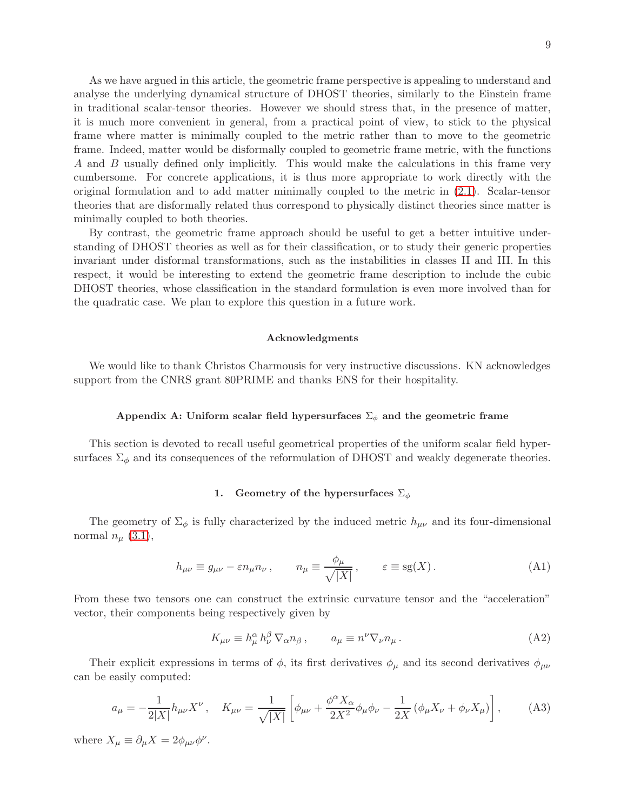As we have argued in this article, the geometric frame perspective is appealing to understand and analyse the underlying dynamical structure of DHOST theories, similarly to the Einstein frame in traditional scalar-tensor theories. However we should stress that, in the presence of matter, it is much more convenient in general, from a practical point of view, to stick to the physical frame where matter is minimally coupled to the metric rather than to move to the geometric frame. Indeed, matter would be disformally coupled to geometric frame metric, with the functions A and B usually defined only implicitly. This would make the calculations in this frame very cumbersome. For concrete applications, it is thus more appropriate to work directly with the original formulation and to add matter minimally coupled to the metric in [\(2.1\)](#page-2-1). Scalar-tensor theories that are disformally related thus correspond to physically distinct theories since matter is minimally coupled to both theories.

By contrast, the geometric frame approach should be useful to get a better intuitive understanding of DHOST theories as well as for their classification, or to study their generic properties invariant under disformal transformations, such as the instabilities in classes II and III. In this respect, it would be interesting to extend the geometric frame description to include the cubic DHOST theories, whose classification in the standard formulation is even more involved than for the quadratic case. We plan to explore this question in a future work.

## Acknowledgments

We would like to thank Christos Charmousis for very instructive discussions. KN acknowledges support from the CNRS grant 80PRIME and thanks ENS for their hospitality.

# <span id="page-8-1"></span>Appendix A: Uniform scalar field hypersurfaces  $\Sigma_{\phi}$  and the geometric frame

This section is devoted to recall useful geometrical properties of the uniform scalar field hypersurfaces  $\Sigma_{\phi}$  and its consequences of the reformulation of DHOST and weakly degenerate theories.

# 1. Geometry of the hypersurfaces  $\Sigma_{\phi}$

The geometry of  $\Sigma_{\phi}$  is fully characterized by the induced metric  $h_{\mu\nu}$  and its four-dimensional normal  $n_{\mu}$  [\(3.1\)](#page-3-4),

$$
h_{\mu\nu} \equiv g_{\mu\nu} - \varepsilon n_{\mu} n_{\nu} , \qquad n_{\mu} \equiv \frac{\phi_{\mu}}{\sqrt{|X|}} , \qquad \varepsilon \equiv \text{sg}(X) . \tag{A1}
$$

From these two tensors one can construct the extrinsic curvature tensor and the "acceleration" vector, their components being respectively given by

$$
K_{\mu\nu} \equiv h^{\alpha}_{\mu} h^{\beta}_{\nu} \nabla_{\alpha} n_{\beta} , \qquad a_{\mu} \equiv n^{\nu} \nabla_{\nu} n_{\mu} . \tag{A2}
$$

Their explicit expressions in terms of  $\phi$ , its first derivatives  $\phi_{\mu}$  and its second derivatives  $\phi_{\mu\nu}$ can be easily computed:

<span id="page-8-0"></span>
$$
a_{\mu} = -\frac{1}{2|X|} h_{\mu\nu} X^{\nu} , \quad K_{\mu\nu} = \frac{1}{\sqrt{|X|}} \left[ \phi_{\mu\nu} + \frac{\phi^{\alpha} X_{\alpha}}{2X^2} \phi_{\mu} \phi_{\nu} - \frac{1}{2X} \left( \phi_{\mu} X_{\nu} + \phi_{\nu} X_{\mu} \right) \right], \tag{A3}
$$

where  $X_{\mu} \equiv \partial_{\mu} X = 2\phi_{\mu\nu}\phi^{\nu}$ .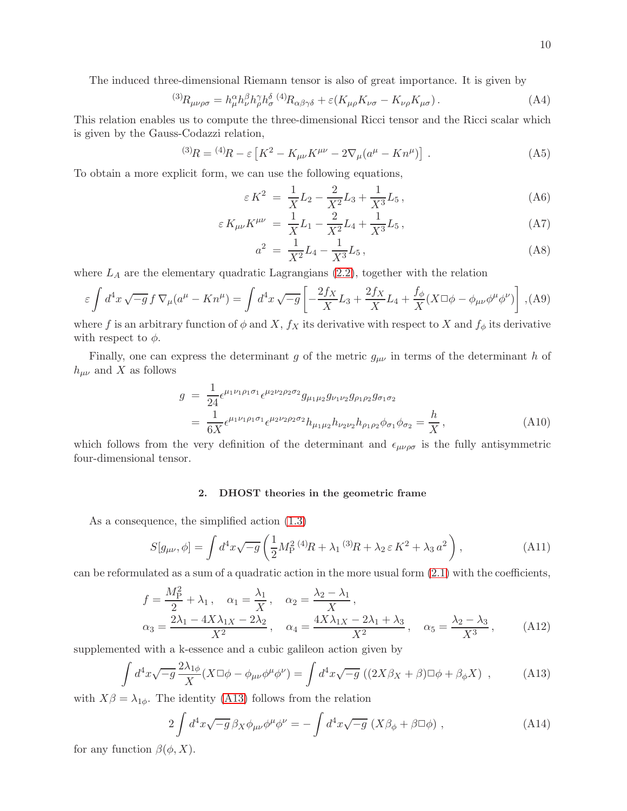The induced three-dimensional Riemann tensor is also of great importance. It is given by

$$
{}^{(3)}R_{\mu\nu\rho\sigma} = h^{\alpha}_{\mu}h^{\beta}_{\nu}h^{\gamma}_{\rho}h^{\delta}_{\sigma}{}^{(4)}R_{\alpha\beta\gamma\delta} + \varepsilon(K_{\mu\rho}K_{\nu\sigma} - K_{\nu\rho}K_{\mu\sigma}). \tag{A4}
$$

This relation enables us to compute the three-dimensional Ricci tensor and the Ricci scalar which is given by the Gauss-Codazzi relation,

<span id="page-9-0"></span>
$$
^{(3)}R = {}^{(4)}R - \varepsilon \left[ K^2 - K_{\mu\nu}K^{\mu\nu} - 2\nabla_{\mu}(a^{\mu} - Kn^{\mu}) \right] \,. \tag{A5}
$$

To obtain a more explicit form, we can use the following equations,

$$
\varepsilon K^2 = \frac{1}{X} L_2 - \frac{2}{X^2} L_3 + \frac{1}{X^3} L_5, \tag{A6}
$$

$$
\varepsilon K_{\mu\nu} K^{\mu\nu} = \frac{1}{X} L_1 - \frac{2}{X^2} L_4 + \frac{1}{X^3} L_5, \tag{A7}
$$

$$
a^2 = \frac{1}{X^2}L_4 - \frac{1}{X^3}L_5,
$$
\n(A8)

where  $L_A$  are the elementary quadratic Lagrangians  $(2.2)$ , together with the relation

$$
\varepsilon \int d^4x \sqrt{-g} f \nabla_{\mu} (a^{\mu} - Kn^{\mu}) = \int d^4x \sqrt{-g} \left[ -\frac{2f_X}{X} L_3 + \frac{2f_X}{X} L_4 + \frac{f_{\phi}}{X} (X \Box \phi - \phi_{\mu\nu} \phi^{\mu} \phi^{\nu}) \right],
$$
(A9)

where f is an arbitrary function of  $\phi$  and X,  $f_X$  its derivative with respect to X and  $f_{\phi}$  its derivative with respect to  $\phi$ .

Finally, one can express the determinant g of the metric  $g_{\mu\nu}$  in terms of the determinant h of  $h_{\mu\nu}$  and X as follows

<span id="page-9-1"></span>
$$
g = \frac{1}{24} \epsilon^{\mu_1 \nu_1 \rho_1 \sigma_1} \epsilon^{\mu_2 \nu_2 \rho_2 \sigma_2} g_{\mu_1 \mu_2} g_{\nu_1 \nu_2} g_{\rho_1 \rho_2} g_{\sigma_1 \sigma_2}
$$
  
= 
$$
\frac{1}{6X} \epsilon^{\mu_1 \nu_1 \rho_1 \sigma_1} \epsilon^{\mu_2 \nu_2 \rho_2 \sigma_2} h_{\mu_1 \mu_2} h_{\nu_2 \nu_2} h_{\rho_1 \rho_2} \phi_{\sigma_1} \phi_{\sigma_2} = \frac{h}{X},
$$
 (A10)

which follows from the very definition of the determinant and  $\epsilon_{\mu\nu\rho\sigma}$  is the fully antisymmetric four-dimensional tensor.

# 2. DHOST theories in the geometric frame

As a consequence, the simplified action [\(1.3\)](#page-1-0)

$$
S[g_{\mu\nu}, \phi] = \int d^4x \sqrt{-g} \left( \frac{1}{2} M_P^{2\ (4)} R + \lambda_1^{(3)} R + \lambda_2 \,\varepsilon \, K^2 + \lambda_3 \, a^2 \right), \tag{A11}
$$

can be reformulated as a sum of a quadratic action in the more usual form  $(2.1)$  with the coefficients,

$$
f = \frac{M_{\rm P}^2}{2} + \lambda_1, \quad \alpha_1 = \frac{\lambda_1}{X}, \quad \alpha_2 = \frac{\lambda_2 - \lambda_1}{X},
$$
  

$$
\alpha_3 = \frac{2\lambda_1 - 4X\lambda_1X - 2\lambda_2}{X^2}, \quad \alpha_4 = \frac{4X\lambda_1X - 2\lambda_1 + \lambda_3}{X^2}, \quad \alpha_5 = \frac{\lambda_2 - \lambda_3}{X^3}, \quad (A12)
$$

supplemented with a k-essence and a cubic galileon action given by

<span id="page-9-2"></span>
$$
\int d^4x \sqrt{-g} \frac{2\lambda_{1\phi}}{X} (X \Box \phi - \phi_{\mu\nu} \phi^{\mu} \phi^{\nu}) = \int d^4x \sqrt{-g} \left( (2X\beta_X + \beta) \Box \phi + \beta_{\phi} X \right) , \tag{A13}
$$

with  $X\beta = \lambda_{1\phi}$ . The identity [\(A13\)](#page-9-2) follows from the relation

<span id="page-9-3"></span>
$$
2\int d^4x \sqrt{-g} \,\beta_X \phi_{\mu\nu} \phi^{\mu} \phi^{\nu} = -\int d^4x \sqrt{-g} \left( X \beta_{\phi} + \beta \Box \phi \right) , \tag{A14}
$$

for any function  $\beta(\phi, X)$ .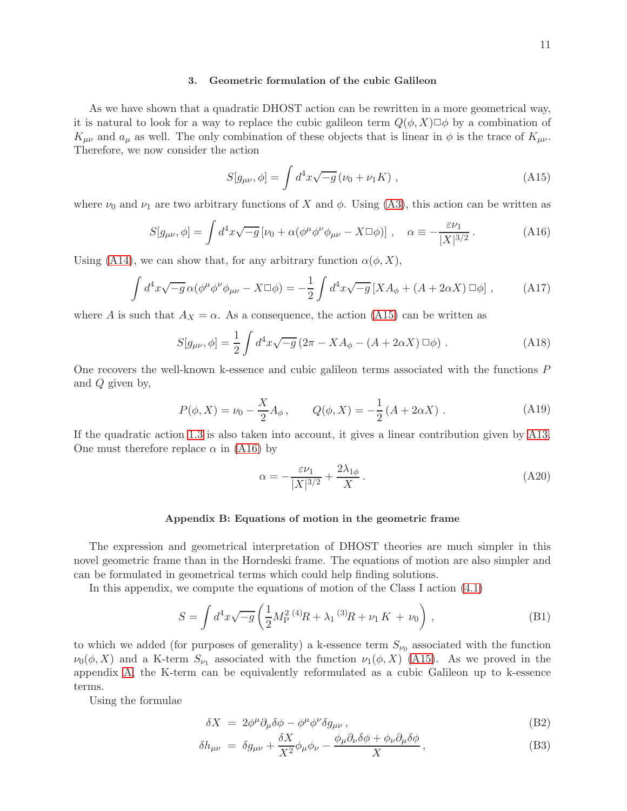## 3. Geometric formulation of the cubic Galileon

As we have shown that a quadratic DHOST action can be rewritten in a more geometrical way, it is natural to look for a way to replace the cubic galileon term  $Q(\phi, X) \Box \phi$  by a combination of  $K_{\mu\nu}$  and  $a_{\mu}$  as well. The only combination of these objects that is linear in  $\phi$  is the trace of  $K_{\mu\nu}$ . Therefore, we now consider the action

<span id="page-10-1"></span><span id="page-10-0"></span>
$$
S[g_{\mu\nu}, \phi] = \int d^4x \sqrt{-g} \left( \nu_0 + \nu_1 K \right) , \qquad (A15)
$$

where  $\nu_0$  and  $\nu_1$  are two arbitrary functions of X and  $\phi$ . Using [\(A3\)](#page-8-0), this action can be written as

$$
S[g_{\mu\nu}, \phi] = \int d^4x \sqrt{-g} \left[ \nu_0 + \alpha (\phi^{\mu} \phi^{\nu} \phi_{\mu\nu} - X \Box \phi) \right], \quad \alpha \equiv -\frac{\varepsilon \nu_1}{|X|^{3/2}}. \tag{A16}
$$

Using [\(A14\)](#page-9-3), we can show that, for any arbitrary function  $\alpha(\phi, X)$ ,

$$
\int d^4x \sqrt{-g} \,\alpha(\phi^\mu \phi^\nu \phi_{\mu\nu} - X \Box \phi) = -\frac{1}{2} \int d^4x \sqrt{-g} \left[ X A_\phi + (A + 2\alpha X) \Box \phi \right] \,,\tag{A17}
$$

where A is such that  $A_X = \alpha$ . As a consequence, the action [\(A15\)](#page-10-0) can be written as

$$
S[g_{\mu\nu}, \phi] = \frac{1}{2} \int d^4x \sqrt{-g} \left( 2\pi - X A_{\phi} - (A + 2\alpha X) \,\Box \phi \right) \,. \tag{A18}
$$

One recovers the well-known k-essence and cubic galileon terms associated with the functions P and Q given by,

<span id="page-10-2"></span>
$$
P(\phi, X) = \nu_0 - \frac{X}{2} A_{\phi}, \qquad Q(\phi, X) = -\frac{1}{2} (A + 2\alpha X) . \tag{A19}
$$

If the quadratic action [1.3](#page-1-0) is also taken into account, it gives a linear contribution given by [A13.](#page-9-2) One must therefore replace  $\alpha$  in [\(A16\)](#page-10-1) by

$$
\alpha = -\frac{\varepsilon \nu_1}{|X|^{3/2}} + \frac{2\lambda_{1\phi}}{X} \,. \tag{A20}
$$

# Appendix B: Equations of motion in the geometric frame

The expression and geometrical interpretation of DHOST theories are much simpler in this novel geometric frame than in the Horndeski frame. The equations of motion are also simpler and can be formulated in geometrical terms which could help finding solutions.

In this appendix, we compute the equations of motion of the Class I action [\(4.1\)](#page-5-0)

$$
S = \int d^4x \sqrt{-g} \left( \frac{1}{2} M_{\rm P}^2 \, ^{(4)}R + \lambda_1 \, ^{(3)}R + \nu_1 \, K + \nu_0 \right) \,, \tag{B1}
$$

to which we added (for purposes of generality) a k-essence term  $S_{\nu_0}$  associated with the function  $\nu_0(\phi, X)$  and a K-term  $S_{\nu_1}$  associated with the function  $\nu_1(\phi, X)$  [\(A15\)](#page-10-0). As we proved in the appendix [A,](#page-8-1) the K-term can be equivalently reformulated as a cubic Galileon up to k-essence terms.

Using the formulae

$$
\delta X = 2\phi^{\mu}\partial_{\mu}\delta\phi - \phi^{\mu}\phi^{\nu}\delta g_{\mu\nu}, \qquad (B2)
$$

$$
\delta h_{\mu\nu} = \delta g_{\mu\nu} + \frac{\delta X}{X^2} \phi_{\mu} \phi_{\nu} - \frac{\phi_{\mu} \partial_{\nu} \delta \phi + \phi_{\nu} \partial_{\mu} \delta \phi}{X}, \tag{B3}
$$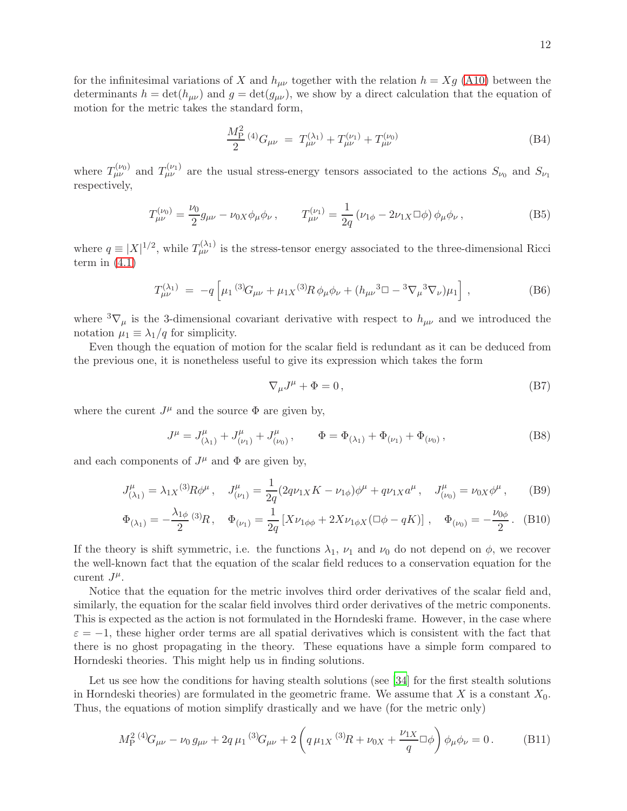for the infinitesimal variations of X and  $h_{\mu\nu}$  together with the relation  $h = Xg$  [\(A10\)](#page-9-1) between the determinants  $h = det(h_{\mu\nu})$  and  $g = det(g_{\mu\nu})$ , we show by a direct calculation that the equation of motion for the metric takes the standard form,

$$
\frac{M_{\rm P}^2}{2} \, {}^{(4)}G_{\mu\nu} \ = \ T_{\mu\nu}^{(\lambda_1)} + T_{\mu\nu}^{(\nu_1)} + T_{\mu\nu}^{(\nu_0)} \tag{B4}
$$

where  $T_{\mu\nu}^{(\nu_0)}$  and  $T_{\mu\nu}^{(\nu_1)}$  are the usual stress-energy tensors associated to the actions  $S_{\nu_0}$  and  $S_{\nu_1}$ respectively,

$$
T_{\mu\nu}^{(\nu_0)} = \frac{\nu_0}{2} g_{\mu\nu} - \nu_{0X} \phi_{\mu} \phi_{\nu} , \qquad T_{\mu\nu}^{(\nu_1)} = \frac{1}{2q} \left( \nu_{1\phi} - 2\nu_{1X} \Box \phi \right) \phi_{\mu} \phi_{\nu} , \tag{B5}
$$

where  $q \equiv |X|^{1/2}$ , while  $T_{\mu\nu}^{(\lambda_1)}$  is the stress-tensor energy associated to the three-dimensional Ricci term in  $(4.1)$ 

$$
T^{(\lambda_1)}_{\mu\nu} = -q \left[ \mu_1 \, {}^{(3)}\!G_{\mu\nu} + \mu_{1X} \, {}^{(3)}\!R \, \phi_\mu \phi_\nu + (h_{\mu\nu} \, {}^{3}\Box - {}^{3}\nabla_\mu \, {}^{3}\nabla_\nu) \mu_1 \right] \,, \tag{B6}
$$

where  ${}^{3}\nabla_{\mu}$  is the 3-dimensional covariant derivative with respect to  $h_{\mu\nu}$  and we introduced the notation  $\mu_1 \equiv \lambda_1/q$  for simplicity.

Even though the equation of motion for the scalar field is redundant as it can be deduced from the previous one, it is nonetheless useful to give its expression which takes the form

$$
\nabla_{\mu}J^{\mu} + \Phi = 0, \qquad (B7)
$$

where the curent  $J^{\mu}$  and the source  $\Phi$  are given by,

$$
J^{\mu} = J^{\mu}_{(\lambda_1)} + J^{\mu}_{(\nu_1)} + J^{\mu}_{(\nu_0)}, \qquad \Phi = \Phi_{(\lambda_1)} + \Phi_{(\nu_1)} + \Phi_{(\nu_0)}, \qquad (B8)
$$

and each components of  $J^{\mu}$  and  $\Phi$  are given by,

$$
J^{\mu}_{(\lambda_1)} = \lambda_{1X}^{(3)} R \phi^{\mu} , \quad J^{\mu}_{(\nu_1)} = \frac{1}{2q} (2q \nu_{1X} K - \nu_{1\phi}) \phi^{\mu} + q \nu_{1X} a^{\mu} , \quad J^{\mu}_{(\nu_0)} = \nu_{0X} \phi^{\mu} , \quad (B9)
$$

$$
\Phi_{(\lambda_1)} = -\frac{\lambda_{1\phi}}{2}{}^{(3)}R, \quad \Phi_{(\nu_1)} = \frac{1}{2q} \left[ X\nu_{1\phi\phi} + 2X\nu_{1\phi X} (\Box\phi - qK) \right], \quad \Phi_{(\nu_0)} = -\frac{\nu_{0\phi}}{2}.
$$
 (B10)

If the theory is shift symmetric, i.e. the functions  $\lambda_1$ ,  $\nu_1$  and  $\nu_0$  do not depend on  $\phi$ , we recover the well-known fact that the equation of the scalar field reduces to a conservation equation for the curent  $J^{\mu}$ .

Notice that the equation for the metric involves third order derivatives of the scalar field and, similarly, the equation for the scalar field involves third order derivatives of the metric components. This is expected as the action is not formulated in the Horndeski frame. However, in the case where  $\varepsilon = -1$ , these higher order terms are all spatial derivatives which is consistent with the fact that there is no ghost propagating in the theory. These equations have a simple form compared to Horndeski theories. This might help us in finding solutions.

Let us see how the conditions for having stealth solutions (see [\[34](#page-15-22)] for the first stealth solutions in Horndeski theories) are formulated in the geometric frame. We assume that X is a constant  $X_0$ . Thus, the equations of motion simplify drastically and we have (for the metric only)

$$
M_P^{2} {}^{(4)}G_{\mu\nu} - \nu_0 g_{\mu\nu} + 2q \mu_1 {}^{(3)}G_{\mu\nu} + 2 \left( q \mu_1 X {}^{(3)}R + \nu_0 X + \frac{\nu_1 X}{q} \Box \phi \right) \phi_\mu \phi_\nu = 0. \tag{B11}
$$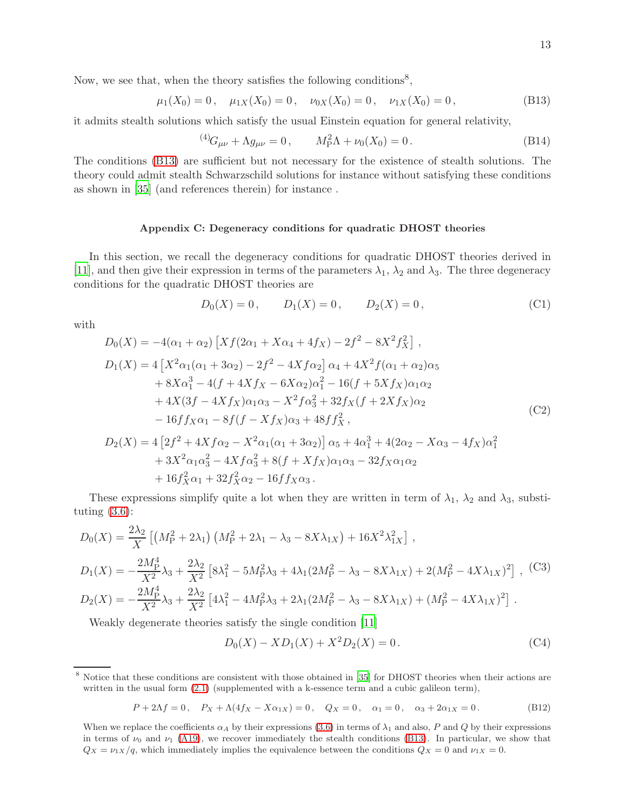<span id="page-12-2"></span>
$$
\mu_1(X_0) = 0, \quad \mu_{1X}(X_0) = 0, \quad \nu_{0X}(X_0) = 0, \quad \nu_{1X}(X_0) = 0,
$$
\n(B13)

it admits stealth solutions which satisfy the usual Einstein equation for general relativity,

$$
^{(4)}G_{\mu\nu} + \Lambda g_{\mu\nu} = 0, \qquad M_{\rm P}^2 \Lambda + \nu_0(X_0) = 0. \tag{B14}
$$

The conditions [\(B13\)](#page-12-2) are sufficient but not necessary for the existence of stealth solutions. The theory could admit stealth Schwarzschild solutions for instance without satisfying these conditions as shown in [\[35](#page-16-0)] (and references therein) for instance .

## <span id="page-12-0"></span>Appendix C: Degeneracy conditions for quadratic DHOST theories

In this section, we recall the degeneracy conditions for quadratic DHOST theories derived in [\[11\]](#page-15-2), and then give their expression in terms of the parameters  $\lambda_1$ ,  $\lambda_2$  and  $\lambda_3$ . The three degeneracy conditions for the quadratic DHOST theories are

$$
D_0(X) = 0, \qquad D_1(X) = 0, \qquad D_2(X) = 0,
$$
 (C1)

with

$$
D_0(X) = -4(\alpha_1 + \alpha_2) \left[ X f(2\alpha_1 + X\alpha_4 + 4f_X) - 2f^2 - 8X^2 f_X^2 \right],
$$
  
\n
$$
D_1(X) = 4 \left[ X^2 \alpha_1(\alpha_1 + 3\alpha_2) - 2f^2 - 4X f \alpha_2 \right] \alpha_4 + 4X^2 f(\alpha_1 + \alpha_2) \alpha_5
$$
  
\n
$$
+ 8X \alpha_1^3 - 4(f + 4X f_X - 6X \alpha_2) \alpha_1^2 - 16(f + 5X f_X) \alpha_1 \alpha_2
$$
  
\n
$$
+ 4X(3f - 4X f_X) \alpha_1 \alpha_3 - X^2 f \alpha_3^2 + 32f_X (f + 2X f_X) \alpha_2
$$
  
\n
$$
- 16f f_X \alpha_1 - 8f(f - X f_X) \alpha_3 + 48f f_X^2,
$$
  
\n
$$
D_2(X) = 4 \left[ 2f^2 + 4X f \alpha_2 - X^2 \alpha_1(\alpha_1 + 3\alpha_2) \right] \alpha_5 + 4\alpha_1^3 + 4(2\alpha_2 - X\alpha_3 - 4f_X) \alpha_1^2
$$
  
\n
$$
+ 3X^2 \alpha_1 \alpha_3^2 - 4X f \alpha_3^2 + 8(f + X f_X) \alpha_1 \alpha_3 - 32f_X \alpha_1 \alpha_2
$$
  
\n
$$
+ 16f_X^2 \alpha_1 + 32f_X^2 \alpha_2 - 16f f_X \alpha_3.
$$
 (C2)

These expressions simplify quite a lot when they are written in term of  $\lambda_1$ ,  $\lambda_2$  and  $\lambda_3$ , substituting  $(3.6)$ :

<span id="page-12-1"></span>
$$
D_0(X) = \frac{2\lambda_2}{X} \left[ \left( M_P^2 + 2\lambda_1 \right) \left( M_P^2 + 2\lambda_1 - \lambda_3 - 8X\lambda_{1X} \right) + 16X^2\lambda_{1X}^2 \right],
$$
  
\n
$$
D_1(X) = -\frac{2M_P^4}{X^2} \lambda_3 + \frac{2\lambda_2}{X^2} \left[ 8\lambda_1^2 - 5M_P^2\lambda_3 + 4\lambda_1 (2M_P^2 - \lambda_3 - 8X\lambda_{1X}) + 2(M_P^2 - 4X\lambda_{1X})^2 \right],
$$
 (C3)  
\n
$$
D_2(X) = -\frac{2M_P^4}{X^2} \lambda_3 + \frac{2\lambda_2}{X^2} \left[ 4\lambda_1^2 - 4M_P^2\lambda_3 + 2\lambda_1 (2M_P^2 - \lambda_3 - 8X\lambda_{1X}) + (M_P^2 - 4X\lambda_{1X})^2 \right].
$$

Weakly degenerate theories satisfy the single condition [\[11](#page-15-2)]

$$
D_0(X) - X D_1(X) + X^2 D_2(X) = 0.
$$
 (C4)

$$
P + 2\Lambda f = 0, \quad P_X + \Lambda(4f_X - X\alpha_{1X}) = 0, \quad Q_X = 0, \quad \alpha_1 = 0, \quad \alpha_3 + 2\alpha_{1X} = 0. \tag{B12}
$$

<sup>8</sup> Notice that these conditions are consistent with those obtained in [\[35\]](#page-16-0) for DHOST theories when their actions are written in the usual form  $(2.1)$  (supplemented with a k-essence term and a cubic galileon term),

When we replace the coefficients  $\alpha_A$  by their expressions [\(3.6\)](#page-3-3) in terms of  $\lambda_1$  and also, P and Q by their expressions in terms of  $\nu_0$  and  $\nu_1$  [\(A19\)](#page-10-2), we recover immediately the stealth conditions [\(B13\)](#page-12-2). In particular, we show that  $Q_X = \nu_{1X}/q$ , which immediately implies the equivalence between the conditions  $Q_X = 0$  and  $\nu_{1X} = 0$ .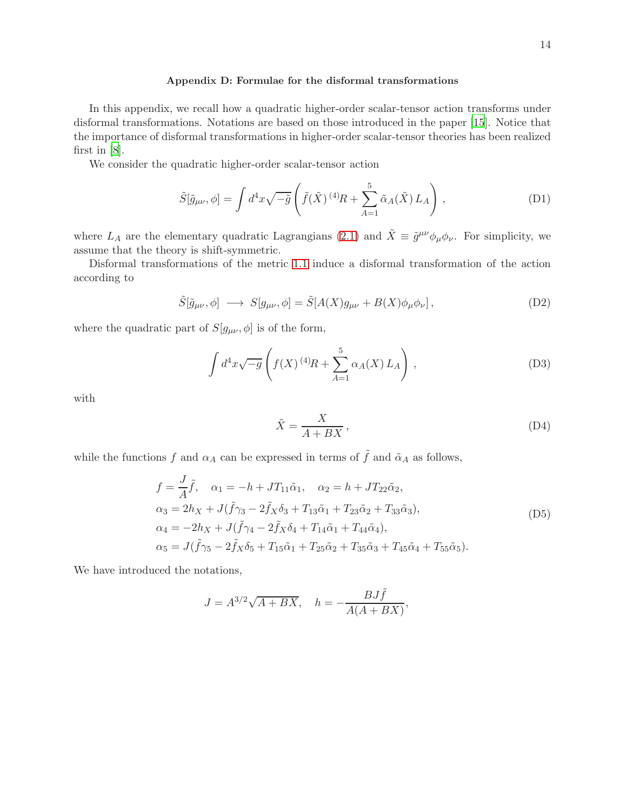## <span id="page-13-0"></span>Appendix D: Formulae for the disformal transformations

In this appendix, we recall how a quadratic higher-order scalar-tensor action transforms under disformal transformations. Notations are based on those introduced in the paper [\[15](#page-15-6)]. Notice that the importance of disformal transformations in higher-order scalar-tensor theories has been realized first in [\[8\]](#page-15-0).

We consider the quadratic higher-order scalar-tensor action

$$
\tilde{S}[\tilde{g}_{\mu\nu}, \phi] = \int d^4x \sqrt{-\tilde{g}} \left( \tilde{f}(\tilde{X})^{(4)} R + \sum_{A=1}^5 \tilde{\alpha}_A(\tilde{X}) L_A \right), \tag{D1}
$$

where  $L_A$  are the elementary quadratic Lagrangians [\(2.1\)](#page-2-1) and  $\tilde{X} \equiv \tilde{g}^{\mu\nu}\phi_{\mu}\phi_{\nu}$ . For simplicity, we assume that the theory is shift-symmetric.

Disformal transformations of the metric [1.1](#page-0-0) induce a disformal transformation of the action according to

$$
\tilde{S}[\tilde{g}_{\mu\nu}, \phi] \longrightarrow S[g_{\mu\nu}, \phi] = \tilde{S}[A(X)g_{\mu\nu} + B(X)\phi_{\mu}\phi_{\nu}], \tag{D2}
$$

where the quadratic part of  $S[g_{\mu\nu}, \phi]$  is of the form,

$$
\int d^4x \sqrt{-g} \left( f(X)^{(4)}R + \sum_{A=1}^5 \alpha_A(X) L_A \right) , \tag{D3}
$$

with

$$
\tilde{X} = \frac{X}{A + BX},\tag{D4}
$$

while the functions f and  $\alpha_A$  can be expressed in terms of  $\tilde{f}$  and  $\tilde{\alpha}_A$  as follows,

$$
f = \frac{J}{A}\tilde{f}, \quad \alpha_1 = -h + JT_{11}\tilde{\alpha}_1, \quad \alpha_2 = h + JT_{22}\tilde{\alpha}_2, \n\alpha_3 = 2h_X + J(\tilde{f}\gamma_3 - 2\tilde{f}_X\delta_3 + T_{13}\tilde{\alpha}_1 + T_{23}\tilde{\alpha}_2 + T_{33}\tilde{\alpha}_3), \n\alpha_4 = -2h_X + J(\tilde{f}\gamma_4 - 2\tilde{f}_X\delta_4 + T_{14}\tilde{\alpha}_1 + T_{44}\tilde{\alpha}_4), \n\alpha_5 = J(\tilde{f}\gamma_5 - 2\tilde{f}_X\delta_5 + T_{15}\tilde{\alpha}_1 + T_{25}\tilde{\alpha}_2 + T_{35}\tilde{\alpha}_3 + T_{45}\tilde{\alpha}_4 + T_{55}\tilde{\alpha}_5).
$$
\n(D5)

We have introduced the notations,

$$
J = A^{3/2}\sqrt{A + BX}, \quad h = -\frac{BJ\tilde{f}}{A(A + BX)},
$$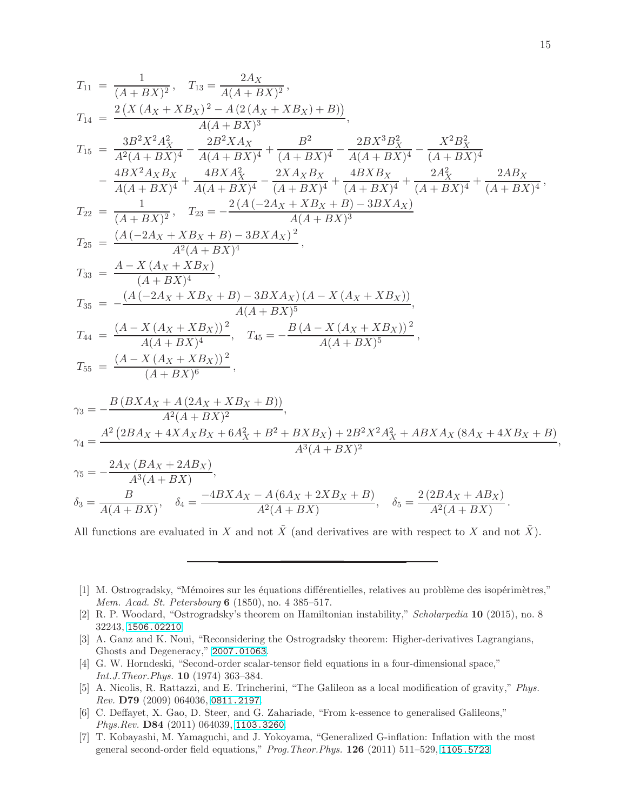$$
T_{11} = \frac{1}{(A+BX)^2}, \quad T_{13} = \frac{2Ax}{A(A+BX)^2},
$$
\n
$$
T_{14} = \frac{2(X(A_X + XB_X)^2 - A(2(A_X + XB_X) + B))}{A(A+BX)^3},
$$
\n
$$
T_{15} = \frac{3B^2X^2A_X^2}{A^2(A+BX)^4} - \frac{2B^2XAx}{A(A+BX)^4} + \frac{B^2}{(A+BX)^4} - \frac{2BX^3B_X^2}{A(A+BX)^4} - \frac{X^2B_X^2}{(A+BX)^4}
$$
\n
$$
- \frac{4BX^2A_XB_X}{A(A+BX)^4} + \frac{4BXA_X^2}{A(A+BX)^4} - \frac{2XA_XB_X}{(A+BX)^4} + \frac{4BXB_X}{(A+BX)^4} + \frac{2A_X^2}{(A+BX)^4} + \frac{2AB_X}{(A+BX)^4},
$$
\n
$$
T_{22} = \frac{1}{(A+BX)^2}, \quad T_{23} = -\frac{2(A(-2A_X + XB_X + B) - 3BXA_X)}{A(A+BX)^3},
$$
\n
$$
T_{25} = \frac{(A(-2A_X + XB_X + B) - 3BXA_X)^2}{A(A+BX)^4},
$$
\n
$$
T_{35} = -\frac{(A(-2A_X + XB_X + B) - 3BXA_X)(A - X(A_X + XB_X)),}{A(A+BX)^5},
$$
\n
$$
T_{44} = \frac{(A - X(A_X + XB_X)^2)}{A(A+BX)^6}, \quad T_{45} = -\frac{B(A - X(A_X + XB_X))^2}{A(A+BX)^6},
$$
\n
$$
T_{55} = \frac{(A - X(A_X + XB_X))^2}{(A+BX)^6},
$$
\n
$$
T_{36} = -\frac{B(BXA_X + A(2A_X + XB_X + B))}{A^3(A+BX)^2},
$$
\n
$$
T_{47} = \frac{A^2(2BA_X + 4XA_XB_X + 6A_X^2 + B^2 + BXB_X) + 2B^2X^2A_X^2 + ABXA_X(8A_X + 4XB_X + B)}{A^3(A+BX)^2},
$$
\n
$$
T_{58} = -\frac{2Ax}{A^3(A+BX)}, \quad \delta_
$$

All functions are evaluated in X and not  $\tilde{X}$  (and derivatives are with respect to X and not  $\tilde{X}$ ).

- <span id="page-14-0"></span>[1] M. Ostrogradsky, "Mémoires sur les équations différentielles, relatives au problème des isopérimètres," Mem. Acad. St. Petersbourg 6 (1850), no. 4 385–517.
- <span id="page-14-1"></span>[2] R. P. Woodard, "Ostrogradsky's theorem on Hamiltonian instability," Scholarpedia 10 (2015), no. 8 32243, [1506.02210](http://xxx.lanl.gov/abs/1506.02210).
- <span id="page-14-2"></span>[3] A. Ganz and K. Noui, "Reconsidering the Ostrogradsky theorem: Higher-derivatives Lagrangians, Ghosts and Degeneracy," [2007.01063](http://xxx.lanl.gov/abs/2007.01063).
- <span id="page-14-3"></span>[4] G. W. Horndeski, "Second-order scalar-tensor field equations in a four-dimensional space," Int.J.Theor.Phys. 10 (1974) 363–384.
- <span id="page-14-4"></span>[5] A. Nicolis, R. Rattazzi, and E. Trincherini, "The Galileon as a local modification of gravity," Phys. Rev. D79 (2009) 064036, [0811.2197](http://xxx.lanl.gov/abs/0811.2197).
- [6] C. Deffayet, X. Gao, D. Steer, and G. Zahariade, "From k-essence to generalised Galileons," Phys.Rev. D84 (2011) 064039, [1103.3260](http://xxx.lanl.gov/abs/1103.3260).
- <span id="page-14-5"></span>[7] T. Kobayashi, M. Yamaguchi, and J. Yokoyama, "Generalized G-inflation: Inflation with the most general second-order field equations," Prog.Theor.Phys. 126 (2011) 511–529, [1105.5723](http://xxx.lanl.gov/abs/1105.5723).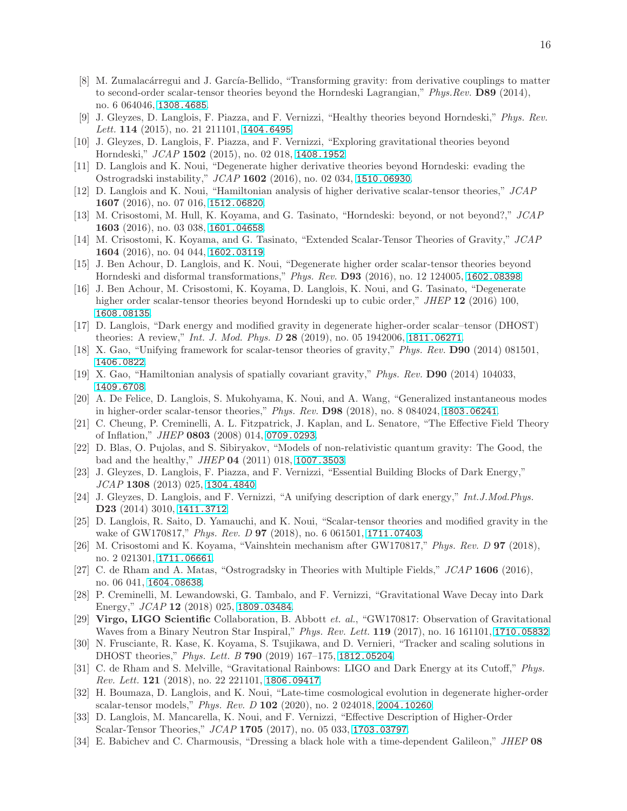- <span id="page-15-0"></span>[8] M. Zumalacárregui and J. García-Bellido, "Transforming gravity: from derivative couplings to matter to second-order scalar-tensor theories beyond the Horndeski Lagrangian," Phys.Rev. D89 (2014), no. 6 064046, [1308.4685](http://xxx.lanl.gov/abs/1308.4685).
- [9] J. Gleyzes, D. Langlois, F. Piazza, and F. Vernizzi, "Healthy theories beyond Horndeski," Phys. Rev. Lett. 114 (2015), no. 21 211101, [1404.6495](http://xxx.lanl.gov/abs/1404.6495).
- <span id="page-15-1"></span>[10] J. Gleyzes, D. Langlois, F. Piazza, and F. Vernizzi, "Exploring gravitational theories beyond Horndeski," JCAP 1502 (2015), no. 02 018, [1408.1952](http://xxx.lanl.gov/abs/1408.1952).
- <span id="page-15-2"></span>[11] D. Langlois and K. Noui, "Degenerate higher derivative theories beyond Horndeski: evading the Ostrogradski instability," JCAP 1602 (2016), no. 02 034, [1510.06930](http://xxx.lanl.gov/abs/1510.06930).
- <span id="page-15-3"></span>[12] D. Langlois and K. Noui, "Hamiltonian analysis of higher derivative scalar-tensor theories," JCAP 1607 (2016), no. 07 016, [1512.06820](http://xxx.lanl.gov/abs/1512.06820).
- [13] M. Crisostomi, M. Hull, K. Koyama, and G. Tasinato, "Horndeski: beyond, or not beyond?," JCAP 1603 (2016), no. 03 038, [1601.04658](http://xxx.lanl.gov/abs/1601.04658).
- [14] M. Crisostomi, K. Koyama, and G. Tasinato, "Extended Scalar-Tensor Theories of Gravity," JCAP 1604 (2016), no. 04 044, [1602.03119](http://xxx.lanl.gov/abs/1602.03119).
- <span id="page-15-6"></span>[15] J. Ben Achour, D. Langlois, and K. Noui, "Degenerate higher order scalar-tensor theories beyond Horndeski and disformal transformations," Phys. Rev. D93 (2016), no. 12 124005, [1602.08398](http://xxx.lanl.gov/abs/1602.08398).
- <span id="page-15-4"></span>[16] J. Ben Achour, M. Crisostomi, K. Koyama, D. Langlois, K. Noui, and G. Tasinato, "Degenerate higher order scalar-tensor theories beyond Horndeski up to cubic order," JHEP 12 (2016) 100, [1608.08135](http://xxx.lanl.gov/abs/1608.08135).
- <span id="page-15-5"></span>[17] D. Langlois, "Dark energy and modified gravity in degenerate higher-order scalar–tensor (DHOST) theories: A review," *Int. J. Mod. Phys. D* 28 (2019), no. 05 1942006, [1811.06271](http://xxx.lanl.gov/abs/1811.06271).
- <span id="page-15-12"></span>[18] X. Gao, "Unifying framework for scalar-tensor theories of gravity," Phys. Rev. D90 (2014) 081501, [1406.0822](http://xxx.lanl.gov/abs/1406.0822).
- <span id="page-15-13"></span>[19] X. Gao, "Hamiltonian analysis of spatially covariant gravity," Phys. Rev. D90 (2014) 104033, [1409.6708](http://xxx.lanl.gov/abs/1409.6708).
- <span id="page-15-7"></span>[20] A. De Felice, D. Langlois, S. Mukohyama, K. Noui, and A. Wang, "Generalized instantaneous modes in higher-order scalar-tensor theories," Phys. Rev. D98 (2018), no. 8 084024, [1803.06241](http://xxx.lanl.gov/abs/1803.06241).
- <span id="page-15-8"></span>[21] C. Cheung, P. Creminelli, A. L. Fitzpatrick, J. Kaplan, and L. Senatore, "The Effective Field Theory of Inflation," JHEP 0803 (2008) 014, [0709.0293](http://xxx.lanl.gov/abs/0709.0293).
- <span id="page-15-9"></span>[22] D. Blas, O. Pujolas, and S. Sibiryakov, "Models of non-relativistic quantum gravity: The Good, the bad and the healthy," JHEP 04 (2011) 018, [1007.3503](http://xxx.lanl.gov/abs/1007.3503).
- <span id="page-15-10"></span>[23] J. Gleyzes, D. Langlois, F. Piazza, and F. Vernizzi, "Essential Building Blocks of Dark Energy," JCAP 1308 (2013) 025, [1304.4840](http://xxx.lanl.gov/abs/1304.4840).
- <span id="page-15-11"></span>[24] J. Gleyzes, D. Langlois, and F. Vernizzi, "A unifying description of dark energy," Int.J.Mod.Phys. D23 (2014) 3010, [1411.3712](http://xxx.lanl.gov/abs/1411.3712).
- <span id="page-15-14"></span>[25] D. Langlois, R. Saito, D. Yamauchi, and K. Noui, "Scalar-tensor theories and modified gravity in the wake of GW170817," Phys. Rev. D 97 (2018), no. 6 061501, [1711.07403](http://xxx.lanl.gov/abs/1711.07403).
- [26] M. Crisostomi and K. Koyama, "Vainshtein mechanism after GW170817," Phys. Rev. D 97 (2018), no. 2 021301, [1711.06661](http://xxx.lanl.gov/abs/1711.06661).
- <span id="page-15-15"></span>[27] C. de Rham and A. Matas, "Ostrogradsky in Theories with Multiple Fields," JCAP 1606 (2016), no. 06 041, [1604.08638](http://xxx.lanl.gov/abs/1604.08638).
- <span id="page-15-16"></span>[28] P. Creminelli, M. Lewandowski, G. Tambalo, and F. Vernizzi, "Gravitational Wave Decay into Dark Energy," JCAP 12 (2018) 025, [1809.03484](http://xxx.lanl.gov/abs/1809.03484).
- <span id="page-15-17"></span>[29] Virgo, LIGO Scientific Collaboration, B. Abbott et. al., "GW170817: Observation of Gravitational Waves from a Binary Neutron Star Inspiral," *Phys. Rev. Lett.* **119** (2017), no. 16 161101, **[1710.05832](http://xxx.lanl.gov/abs/1710.05832).**
- <span id="page-15-18"></span>[30] N. Frusciante, R. Kase, K. Koyama, S. Tsujikawa, and D. Vernieri, "Tracker and scaling solutions in DHOST theories," Phys. Lett. B 790 (2019) 167–175, [1812.05204](http://xxx.lanl.gov/abs/1812.05204).
- <span id="page-15-19"></span>[31] C. de Rham and S. Melville, "Gravitational Rainbows: LIGO and Dark Energy at its Cutoff," Phys. Rev. Lett. 121 (2018), no. 22 221101, [1806.09417](http://xxx.lanl.gov/abs/1806.09417).
- <span id="page-15-20"></span>[32] H. Boumaza, D. Langlois, and K. Noui, "Late-time cosmological evolution in degenerate higher-order scalar-tensor models," Phys. Rev. D 102 (2020), no. 2 024018, [2004.10260](http://xxx.lanl.gov/abs/2004.10260).
- <span id="page-15-21"></span>[33] D. Langlois, M. Mancarella, K. Noui, and F. Vernizzi, "Effective Description of Higher-Order Scalar-Tensor Theories,"  $JCAP$  1705 (2017), no. 05 033, [1703.03797](http://xxx.lanl.gov/abs/1703.03797).
- <span id="page-15-22"></span>[34] E. Babichev and C. Charmousis, "Dressing a black hole with a time-dependent Galileon," JHEP 08